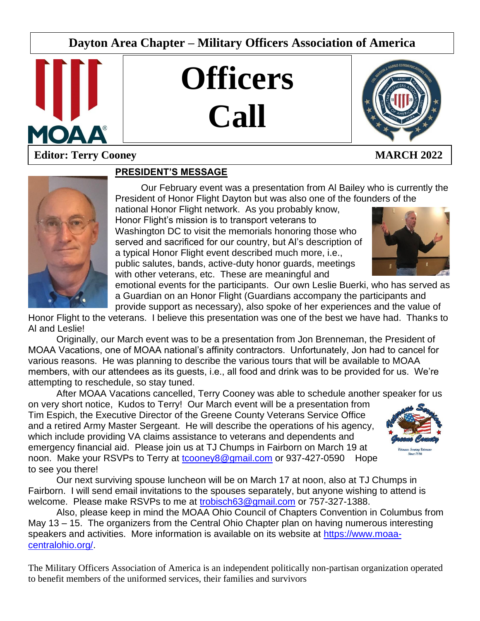# **Dayton Area Chapter – Military Officers Association of America**

**Officers**

**Call**



**August 2007** 

# **Editor: Terry Cooney MARCH 2022**

# **PRESIDENT'S MESSAGE**

Our February event was a presentation from Al Bailey who is currently the President of Honor Flight Dayton but was also one of the founders of the

L

national Honor Flight network. As you probably know, Honor Flight's mission is to transport veterans to Washington DC to visit the memorials honoring those who served and sacrificed for our country, but Al's description of a typical Honor Flight event described much more, i.e., public salutes, bands, active-duty honor guards, meetings with other veterans, etc. These are meaningful and



emotional events for the participants. Our own Leslie Buerki, who has served as a Guardian on an Honor Flight (Guardians accompany the participants and provide support as necessary), also spoke of her experiences and the value of

Honor Flight to the veterans. I believe this presentation was one of the best we have had. Thanks to Al and Leslie!

Originally, our March event was to be a presentation from Jon Brenneman, the President of MOAA Vacations, one of MOAA national's affinity contractors. Unfortunately, Jon had to cancel for various reasons. He was planning to describe the various tours that will be available to MOAA members, with our attendees as its guests, i.e., all food and drink was to be provided for us. We're attempting to reschedule, so stay tuned.

After MOAA Vacations cancelled, Terry Cooney was able to schedule another speaker for us

on very short notice, Kudos to Terry! Our March event will be a presentation from Tim Espich, the Executive Director of the Greene County Veterans Service Office and a retired Army Master Sergeant. He will describe the operations of his agency, which include providing VA claims assistance to veterans and dependents and emergency financial aid. Please join us at TJ Chumps in Fairborn on March 19 at noon. Make your RSVPs to Terry at [tcooney8@gmail.com](mailto:tcooney8@gmail.com) or 937-427-0590 Hope to see you there!



Our next surviving spouse luncheon will be on March 17 at noon, also at TJ Chumps in Fairborn. I will send email invitations to the spouses separately, but anyone wishing to attend is welcome. Please make RSVPs to me at [trobisch63@gmail.com](mailto:trobisch63@gmail.com) or 757-327-1388.

Also, please keep in mind the MOAA Ohio Council of Chapters Convention in Columbus from May 13 – 15. The organizers from the Central Ohio Chapter plan on having numerous interesting speakers and activities. More information is available on its website at [https://www.moaa](https://www.moaa-centralohio.org/)[centralohio.org/.](https://www.moaa-centralohio.org/)

The Military Officers Association of America is an independent politically non-partisan organization operated to benefit members of the uniformed services, their families and survivors

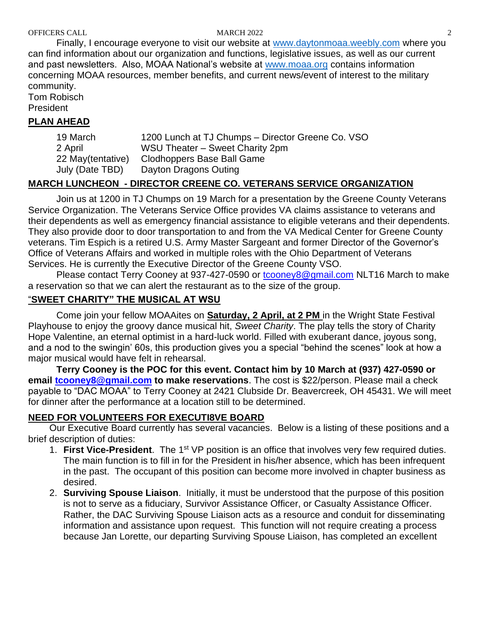Finally, I encourage everyone to visit our website at [www.daytonmoaa.weebly.com](http://www.daytonmoaa.weebly.com/) where you can find information about our organization and functions, legislative issues, as well as our current and past newsletters. Also, MOAA National's website at [www.moaa.org](http://www.moaa.org/) contains information concerning MOAA resources, member benefits, and current news/event of interest to the military community.

Tom Robisch President

### **PLAN AHEAD**

| 19 March           | 1200 Lunch at TJ Chumps - Director Greene Co. VSO |
|--------------------|---------------------------------------------------|
| 2 April            | WSU Theater – Sweet Charity 2pm                   |
| 22 May (tentative) | Clodhoppers Base Ball Game                        |
| July (Date TBD)    | Dayton Dragons Outing                             |

## **MARCH LUNCHEON - DIRECTOR CREENE CO. VETERANS SERVICE ORGANIZATION**

Join us at 1200 in TJ Chumps on 19 March for a presentation by the Greene County Veterans Service Organization. The Veterans Service Office provides VA claims assistance to veterans and their dependents as well as emergency financial assistance to eligible veterans and their dependents. They also provide door to door transportation to and from the VA Medical Center for Greene County veterans. Tim Espich is a retired U.S. Army Master Sargeant and former Director of the Governor's Office of Veterans Affairs and worked in multiple roles with the Ohio Department of Veterans Services. He is currently the Executive Director of the Greene County VSO.

Please contact Terry Cooney at 937-427-0590 or [tcooney8@gmail.com](mailto:tcooney8@gmail.com) NLT16 March to make a reservation so that we can alert the restaurant as to the size of the group.

## "**SWEET CHARITY" THE MUSICAL AT WSU**

Come join your fellow MOAAites on **Saturday, 2 April, at 2 PM** in the Wright State Festival Playhouse to enjoy the groovy dance musical hit, *Sweet Charity*. The play tells the story of Charity Hope Valentine, an eternal optimist in a hard-luck world. Filled with exuberant dance, joyous song, and a nod to the swingin' 60s, this production gives you a special "behind the scenes" look at how a major musical would have felt in rehearsal.

**Terry Cooney is the POC for this event. Contact him by 10 March at (937) 427-0590 or email [tcooney8@gmail.com](mailto:tcooney8@gmail.com) to make reservations**. The cost is \$22/person. Please mail a check payable to "DAC MOAA" to Terry Cooney at 2421 Clubside Dr. Beavercreek, OH 45431. We will meet for dinner after the performance at a location still to be determined.

## **NEED FOR VOLUNTEERS FOR EXECUTI8VE BOARD**

Our Executive Board currently has several vacancies. Below is a listing of these positions and a brief description of duties:

- 1. **First Vice-President**. The 1st VP position is an office that involves very few required duties. The main function is to fill in for the President in his/her absence, which has been infrequent in the past. The occupant of this position can become more involved in chapter business as desired.
- 2. **Surviving Spouse Liaison**. Initially, it must be understood that the purpose of this position is not to serve as a fiduciary, Survivor Assistance Officer, or Casualty Assistance Officer. Rather, the DAC Surviving Spouse Liaison acts as a resource and conduit for disseminating information and assistance upon request. This function will not require creating a process because Jan Lorette, our departing Surviving Spouse Liaison, has completed an excellent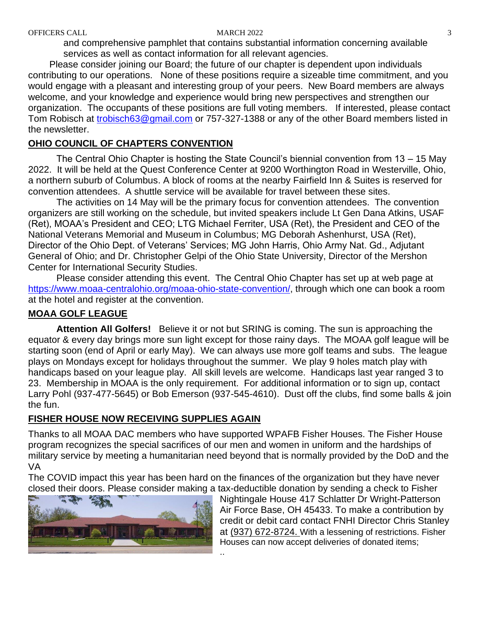and comprehensive pamphlet that contains substantial information concerning available services as well as contact information for all relevant agencies.

Please consider joining our Board; the future of our chapter is dependent upon individuals contributing to our operations. None of these positions require a sizeable time commitment, and you would engage with a pleasant and interesting group of your peers. New Board members are always welcome, and your knowledge and experience would bring new perspectives and strengthen our organization. The occupants of these positions are full voting members. If interested, please contact Tom Robisch at [trobisch63@gmail.com](mailto:trobisch63@gmail.com) or 757-327-1388 or any of the other Board members listed in the newsletter.

#### **OHIO COUNCIL OF CHAPTERS CONVENTION**

The Central Ohio Chapter is hosting the State Council's biennial convention from 13 – 15 May 2022. It will be held at the Quest Conference Center at 9200 Worthington Road in Westerville, Ohio, a northern suburb of Columbus. A block of rooms at the nearby Fairfield Inn & Suites is reserved for convention attendees. A shuttle service will be available for travel between these sites.

The activities on 14 May will be the primary focus for convention attendees. The convention organizers are still working on the schedule, but invited speakers include Lt Gen Dana Atkins, USAF (Ret), MOAA's President and CEO; LTG Michael Ferriter, USA (Ret), the President and CEO of the National Veterans Memorial and Museum in Columbus; MG Deborah Ashenhurst, USA (Ret), Director of the Ohio Dept. of Veterans' Services; MG John Harris, Ohio Army Nat. Gd., Adjutant General of Ohio; and Dr. Christopher Gelpi of the Ohio State University, Director of the Mershon Center for International Security Studies.

Please consider attending this event. The Central Ohio Chapter has set up at web page at [https://www.moaa-centralohio.org/moaa-ohio-state-convention/,](https://www.moaa-centralohio.org/moaa-ohio-state-convention/) through which one can book a room at the hotel and register at the convention.

### **MOAA GOLF LEAGUE**

**Attention All Golfers!** Believe it or not but SRING is coming. The sun is approaching the equator & every day brings more sun light except for those rainy days. The MOAA golf league will be starting soon (end of April or early May). We can always use more golf teams and subs. The league plays on Mondays except for holidays throughout the summer. We play 9 holes match play with handicaps based on your league play. All skill levels are welcome. Handicaps last year ranged 3 to 23. Membership in MOAA is the only requirement. For additional information or to sign up, contact Larry Pohl (937-477-5645) or Bob Emerson (937-545-4610). Dust off the clubs, find some balls & join the fun.

#### **FISHER HOUSE NOW RECEIVING SUPPLIES AGAIN**

Thanks to all MOAA DAC members who have supported WPAFB Fisher Houses. The Fisher House program recognizes the special sacrifices of our men and women in uniform and the hardships of military service by meeting a humanitarian need beyond that is normally provided by the DoD and the VA

The COVID impact this year has been hard on the finances of the organization but they have never closed their doors. Please consider making a tax-deductible donation by sending a check to Fisher



Nightingale House 417 Schlatter Dr Wright-Patterson Air Force Base, OH 45433. To make a contribution by credit or debit card contact FNHI Director Chris Stanley at [\(937\) 672-8724.](tel:(937)672-8724) With a lessening of restrictions. Fisher Houses can now accept deliveries of donated items; ..